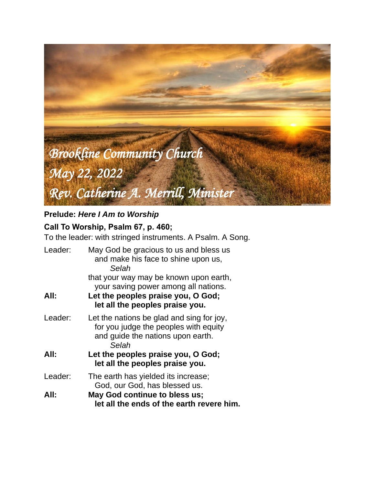

# **Prelude:** *Here I Am to Worship*

# **Call To Worship, Psalm 67, p. 460;**

To the leader: with stringed instruments. A Psalm. A Song.

| Leader: | May God be gracious to us and bless us<br>and make his face to shine upon us,<br>Selah                                                                  |  |  |
|---------|---------------------------------------------------------------------------------------------------------------------------------------------------------|--|--|
| All:    | that your way may be known upon earth,<br>your saving power among all nations.<br>Let the peoples praise you, O God;<br>let all the peoples praise you. |  |  |
| Leader: | Let the nations be glad and sing for joy,<br>for you judge the peoples with equity<br>and guide the nations upon earth.<br>Selah                        |  |  |
| All:    | Let the peoples praise you, O God;<br>let all the peoples praise you.                                                                                   |  |  |
| Leader: | The earth has yielded its increase;<br>God, our God, has blessed us.                                                                                    |  |  |
| All:    | May God continue to bless us;<br>let all the ends of the earth revere him.                                                                              |  |  |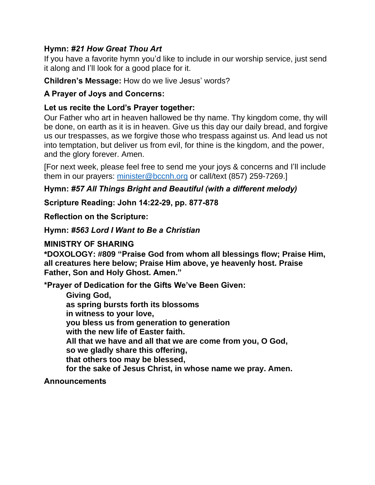## **Hymn:** *#21 How Great Thou Art*

If you have a favorite hymn you'd like to include in our worship service, just send it along and I'll look for a good place for it.

#### **Children's Message:** How do we live Jesus' words?

## **A Prayer of Joys and Concerns:**

## **Let us recite the Lord's Prayer together:**

Our Father who art in heaven hallowed be thy name. Thy kingdom come, thy will be done, on earth as it is in heaven. Give us this day our daily bread, and forgive us our trespasses, as we forgive those who trespass against us. And lead us not into temptation, but deliver us from evil, for thine is the kingdom, and the power, and the glory forever. Amen.

[For next week, please feel free to send me your joys & concerns and I'll include them in our prayers: [minister@bccnh.org](mailto:minister@bccnh.org) or call/text (857) 259-7269.]

## **Hymn:** *#57 All Things Bright and Beautiful (with a different melody)*

**Scripture Reading: John 14:22-29, pp. 877-878**

**Reflection on the Scripture:**

**Hymn:** *#563 Lord I Want to Be a Christian*

**MINISTRY OF SHARING**

**\*DOXOLOGY: #809 "Praise God from whom all blessings flow; Praise Him, all creatures here below; Praise Him above, ye heavenly host. Praise Father, Son and Holy Ghost. Amen."**

**\*Prayer of Dedication for the Gifts We've Been Given:**

**Giving God, as spring bursts forth its blossoms in witness to your love, you bless us from generation to generation with the new life of Easter faith. All that we have and all that we are come from you, O God, so we gladly share this offering, that others too may be blessed, for the sake of Jesus Christ, in whose name we pray. Amen.**

#### **Announcements**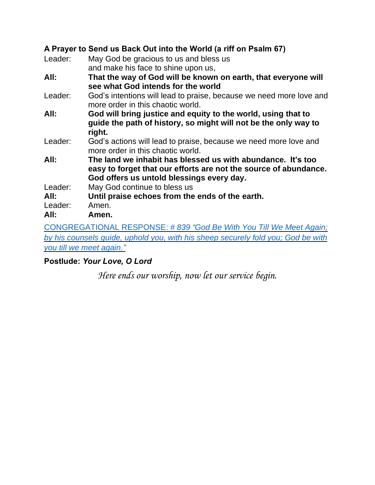## **A Prayer to Send us Back Out into the World (a riff on Psalm 67)**

| Leader: | May God be gracious to us and bless us                                                                   |
|---------|----------------------------------------------------------------------------------------------------------|
|         | and make his face to shine upon us,                                                                      |
| All:    | That the way of God will be known on earth, that everyone will                                           |
|         | see what God intends for the world                                                                       |
| Leader: | God's intentions will lead to praise, because we need more love and<br>more order in this chaotic world. |
| All:    | God will bring justice and equity to the world, using that to                                            |
|         | guide the path of history, so might will not be the only way to                                          |
|         | right.                                                                                                   |
| Leader: | God's actions will lead to praise, because we need more love and                                         |
|         | more order in this chaotic world.                                                                        |
| All:    | The land we inhabit has blessed us with abundance. It's too                                              |
|         | easy to forget that our efforts are not the source of abundance.                                         |
|         | God offers us untold blessings every day.                                                                |
| Leader: | May God continue to bless us                                                                             |
| All:    | Until praise echoes from the ends of the earth.                                                          |
| Leader: | Amen.                                                                                                    |
| All:    | Amen.                                                                                                    |
|         |                                                                                                          |

[CONGREGATIONAL](https://www.youtube.com/watch?v=dQTRoTkkz3g) RESPONSE: *# 839 "God Be With You Till We Meet Again; by his [counsels](https://www.youtube.com/watch?v=dQTRoTkkz3g) guide, uphold you, with his sheep securely fold you; God be with you till we meet [again.](https://www.youtube.com/watch?v=dQTRoTkkz3g)"*

## **Postlude:** *Your Love, O Lord*

*Here ends our worship, now let our service begin.*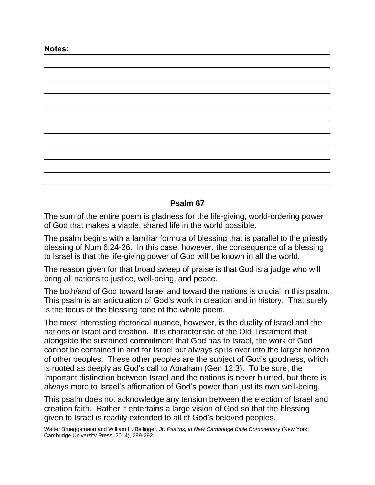#### **Psalm 67**

The sum of the entire poem is gladness for the life-giving, world-ordering power of God that makes a viable, shared life in the world possible.

The psalm begins with a familiar formula of blessing that is parallel to the priestly blessing of Num 6:24-26. In this case, however, the consequence of a blessing to Israel is that the life-giving power of God will be known in all the world.

The reason given for that broad sweep of praise is that God is a judge who will bring all nations to justice, well-being, and peace.

The both/and of God toward Israel and toward the nations is crucial in this psalm. This psalm is an articulation of God's work in creation and in history. That surely is the focus of the blessing tone of the whole poem.

The most interesting rhetorical nuance, however, is the duality of Israel and the nations or Israel and creation. It is characteristic of the Old Testament that alongside the sustained commitment that God has to Israel, the work of God cannot be contained in and for Israel but always spills over into the larger horizon of other peoples. These other peoples are the subject of God's goodness, which is rooted as deeply as God's call to Abraham (Gen 12:3). To be sure, the important distinction between Israel and the nations is never blurred, but there is always more to Israel's affirmation of God's power than just its own well-being.

This psalm does not acknowledge any tension between the election of Israel and creation faith. Rather it entertains a large vision of God so that the blessing given to Israel is readily extended to all of God's beloved peoples.

Walter Brueggemann and William H. Bellinger, Jr. *Psalms, in New Cambridge Bible Commentary* (New York: Cambridge University Press, 2014), 289-292.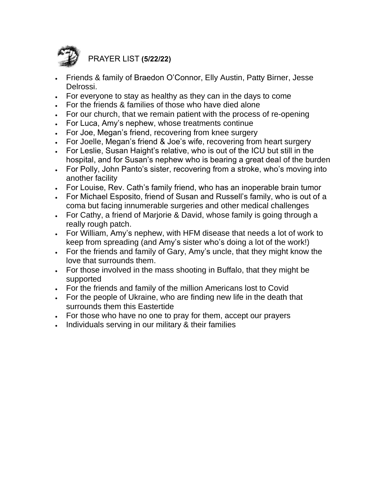

PRAYER LIST **(5/22/22)**

- Friends & family of Braedon O'Connor, Elly Austin, Patty Birner, Jesse Delrossi.
- For everyone to stay as healthy as they can in the days to come
- For the friends & families of those who have died alone
- For our church, that we remain patient with the process of re-opening
- For Luca, Amy's nephew, whose treatments continue
- For Joe, Megan's friend, recovering from knee surgery
- For Joelle, Megan's friend & Joe's wife, recovering from heart surgery
- For Leslie, Susan Haight's relative, who is out of the ICU but still in the hospital, and for Susan's nephew who is bearing a great deal of the burden
- For Polly, John Panto's sister, recovering from a stroke, who's moving into another facility
- For Louise, Rev. Cath's family friend, who has an inoperable brain tumor
- For Michael Esposito, friend of Susan and Russell's family, who is out of a coma but facing innumerable surgeries and other medical challenges
- For Cathy, a friend of Marjorie & David, whose family is going through a really rough patch.
- For William, Amy's nephew, with HFM disease that needs a lot of work to keep from spreading (and Amy's sister who's doing a lot of the work!)
- For the friends and family of Gary, Amy's uncle, that they might know the love that surrounds them.
- For those involved in the mass shooting in Buffalo, that they might be supported
- For the friends and family of the million Americans lost to Covid
- For the people of Ukraine, who are finding new life in the death that surrounds them this Eastertide
- For those who have no one to pray for them, accept our prayers
- Individuals serving in our military & their families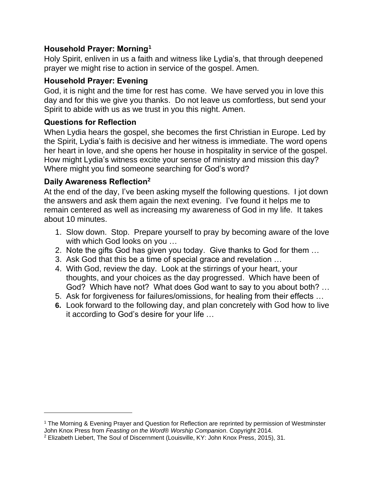## **Household Prayer: Morning<sup>1</sup>**

Holy Spirit, enliven in us a faith and witness like Lydia's, that through deepened prayer we might rise to action in service of the gospel. Amen.

## **Household Prayer: Evening**

God, it is night and the time for rest has come. We have served you in love this day and for this we give you thanks. Do not leave us comfortless, but send your Spirit to abide with us as we trust in you this night. Amen.

#### **Questions for Reflection**

When Lydia hears the gospel, she becomes the first Christian in Europe. Led by the Spirit, Lydia's faith is decisive and her witness is immediate. The word opens her heart in love, and she opens her house in hospitality in service of the gospel. How might Lydia's witness excite your sense of ministry and mission this day? Where might you find someone searching for God's word?

## **Daily Awareness Reflection<sup>2</sup>**

At the end of the day, I've been asking myself the following questions. I jot down the answers and ask them again the next evening. I've found it helps me to remain centered as well as increasing my awareness of God in my life. It takes about 10 minutes.

- 1. Slow down. Stop. Prepare yourself to pray by becoming aware of the love with which God looks on you …
- 2. Note the gifts God has given you today. Give thanks to God for them …
- 3. Ask God that this be a time of special grace and revelation …
- 4. With God, review the day. Look at the stirrings of your heart, your thoughts, and your choices as the day progressed. Which have been of God? Which have not? What does God want to say to you about both? …
- 5. Ask for forgiveness for failures/omissions, for healing from their effects …
- **6.** Look forward to the following day, and plan concretely with God how to live it according to God's desire for your life …

<sup>1</sup> The Morning & Evening Prayer and Question for Reflection are reprinted by permission of Westminster John Knox Press from *Feasting on the Word*® *Worship Companion*. Copyright 2014.

<sup>2</sup> Elizabeth Liebert, The Soul of Discernment (Louisville, KY: John Knox Press, 2015), 31.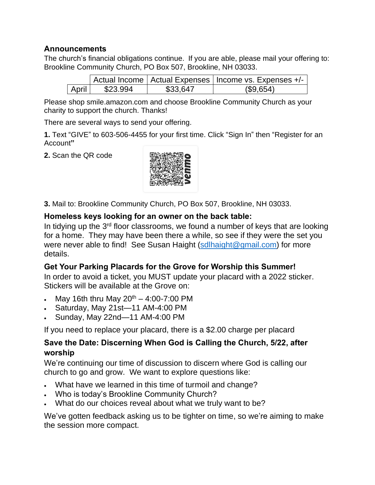#### **Announcements**

The church's financial obligations continue. If you are able, please mail your offering to: Brookline Community Church, PO Box 507, Brookline, NH 03033.

|       |          |          | Actual Income   Actual Expenses   Income vs. Expenses +/- |
|-------|----------|----------|-----------------------------------------------------------|
| April | \$23.994 | \$33,647 | (\$9,654)                                                 |

Please shop smile.amazon.com and choose Brookline Community Church as your charity to support the church. Thanks!

There are several ways to send your offering.

**1.** Text "GIVE" to 603-506-4455 for your first time. Click "Sign In" then "Register for an Account**"**

**2.** Scan the QR code



**3.** Mail to: Brookline Community Church, PO Box 507, Brookline, NH 03033.

## **Homeless keys looking for an owner on the back table:**

In tidying up the 3<sup>rd</sup> floor classrooms, we found a number of keys that are looking for a home. They may have been there a while, so see if they were the set you were never able to find! See Susan Haight [\(sdlhaight@gmail.com\)](mailto:sdlhaight@gmail.com) for more details.

## **Get Your Parking Placards for the Grove for Worship this Summer!**

In order to avoid a ticket, you MUST update your placard with a 2022 sticker. Stickers will be available at the Grove on:

- May 16th thru May  $20^{th} 4:00 7:00$  PM
- Saturday, May 21st—11 AM-4:00 PM
- Sunday, May 22nd—11 AM-4:00 PM

If you need to replace your placard, there is a \$2.00 charge per placard

## **Save the Date: Discerning When God is Calling the Church, 5/22, after worship**

We're continuing our time of discussion to discern where God is calling our church to go and grow. We want to explore questions like:

- What have we learned in this time of turmoil and change?
- Who is today's Brookline Community Church?
- What do our choices reveal about what we truly want to be?

We've gotten feedback asking us to be tighter on time, so we're aiming to make the session more compact.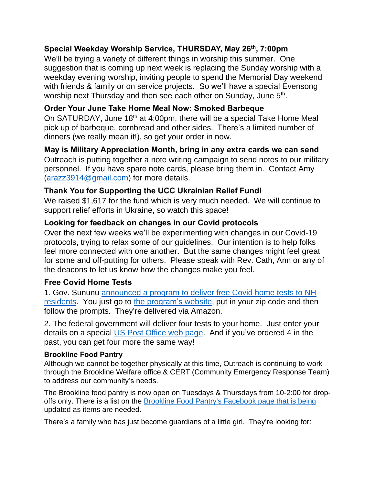## **Special Weekday Worship Service, THURSDAY, May 26th , 7:00pm**

We'll be trying a variety of different things in worship this summer. One suggestion that is coming up next week is replacing the Sunday worship with a weekday evening worship, inviting people to spend the Memorial Day weekend with friends & family or on service projects. So we'll have a special Evensong worship next Thursday and then see each other on Sunday, June 5<sup>th</sup>.

## **Order Your June Take Home Meal Now: Smoked Barbeque**

On SATURDAY, June 18<sup>th</sup> at 4:00pm, there will be a special Take Home Meal pick up of barbeque, cornbread and other sides. There's a limited number of dinners (we really mean it!), so get your order in now.

**May is Military Appreciation Month, bring in any extra cards we can send** Outreach is putting together a note writing campaign to send notes to our military personnel. If you have spare note cards, please bring them in. Contact Amy [\(arazz3914@gmail.com\)](mailto:arazz3914@gmail.com) for more details.

#### **Thank You for Supporting the UCC Ukrainian Relief Fund!**

We raised \$1,617 for the fund which is very much needed. We will continue to support relief efforts in Ukraine, so watch this space!

#### **Looking for feedback on changes in our Covid protocols**

Over the next few weeks we'll be experimenting with changes in our Covid-19 protocols, trying to relax some of our guidelines. Our intention is to help folks feel more connected with one another. But the same changes might feel great for some and off-putting for others. Please speak with Rev. Cath, Ann or any of the deacons to let us know how the changes make you feel.

#### **Free Covid Home Tests**

1. Gov. Sununu [announced](https://www.governor.nh.gov/news-and-media/free-home-rapid-covid-19-tests-now-available-new-hampshire-residents) a program to deliver free Covid home tests to NH [residents.](https://www.governor.nh.gov/news-and-media/free-home-rapid-covid-19-tests-now-available-new-hampshire-residents) You just go to the [program's](https://sayyescovidhometest.org/) website, put in your zip code and then follow the prompts. They're delivered via Amazon.

2. The federal government will deliver four tests to your home. Just enter your details on a special US Post [Office](https://special.usps.com/testkits) web page. And if you've ordered 4 in the past, you can get four more the same way!

#### **Brookline Food Pantry**

Although we cannot be together physically at this time, Outreach is continuing to work through the Brookline Welfare office & CERT (Community Emergency Response Team) to address our community's needs.

The Brookline food pantry is now open on Tuesdays & Thursdays from 10-2:00 for dropoffs only. There is a list on the Brookline Food Pantry's [Facebook](https://www.facebook.com/BrooklineFP/) page that is being updated as items are needed.

There's a family who has just become guardians of a little girl. They're looking for: